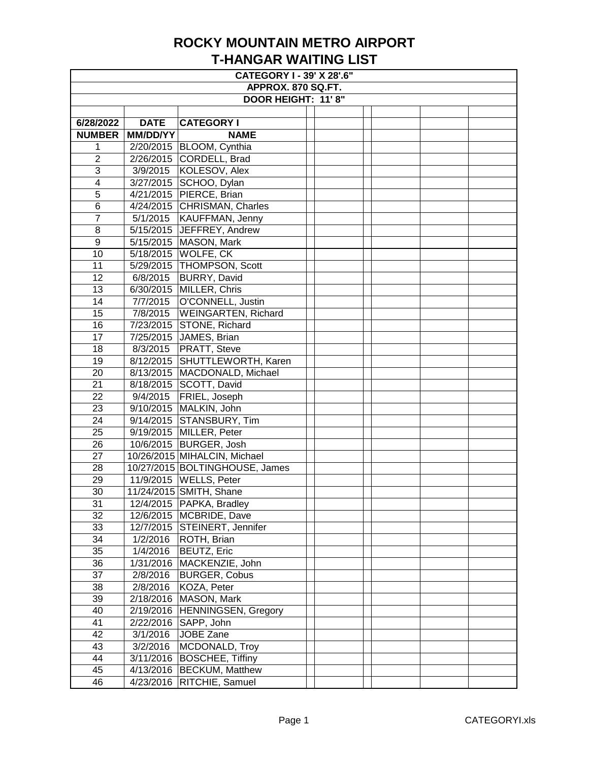| <b>CATEGORY I - 39' X 28'.6"</b> |                 |                                |  |  |  |  |  |  |
|----------------------------------|-----------------|--------------------------------|--|--|--|--|--|--|
| APPROX. 870 SQ.FT.               |                 |                                |  |  |  |  |  |  |
| DOOR HEIGHT: 11'8"               |                 |                                |  |  |  |  |  |  |
|                                  |                 |                                |  |  |  |  |  |  |
| 6/28/2022                        | <b>DATE</b>     | <b>CATEGORY I</b>              |  |  |  |  |  |  |
| <b>NUMBER</b>                    | <b>MM/DD/YY</b> | <b>NAME</b>                    |  |  |  |  |  |  |
| 1                                |                 | 2/20/2015   BLOOM, Cynthia     |  |  |  |  |  |  |
| $\overline{2}$                   |                 | 2/26/2015 CORDELL, Brad        |  |  |  |  |  |  |
| 3                                | 3/9/2015        | KOLESOV, Alex                  |  |  |  |  |  |  |
| 4                                |                 | 3/27/2015 SCHOO, Dylan         |  |  |  |  |  |  |
| 5                                |                 | 4/21/2015 PIERCE, Brian        |  |  |  |  |  |  |
| 6                                |                 | 4/24/2015 CHRISMAN, Charles    |  |  |  |  |  |  |
| $\overline{7}$                   | 5/1/2015        | <b>KAUFFMAN, Jenny</b>         |  |  |  |  |  |  |
| 8                                |                 | 5/15/2015 JEFFREY, Andrew      |  |  |  |  |  |  |
| $\overline{9}$                   |                 | 5/15/2015   MASON, Mark        |  |  |  |  |  |  |
| 10                               |                 | 5/18/2015 WOLFE, CK            |  |  |  |  |  |  |
| 11                               |                 | 5/29/2015 THOMPSON, Scott      |  |  |  |  |  |  |
| 12                               | 6/8/2015        | <b>BURRY, David</b>            |  |  |  |  |  |  |
| 13                               | 6/30/2015       | MILLER, Chris                  |  |  |  |  |  |  |
| 14                               | 7/7/2015        | O'CONNELL, Justin              |  |  |  |  |  |  |
| 15                               | 7/8/2015        | <b>WEINGARTEN, Richard</b>     |  |  |  |  |  |  |
| 16                               |                 | 7/23/2015 STONE, Richard       |  |  |  |  |  |  |
| 17                               |                 | 7/25/2015 JAMES, Brian         |  |  |  |  |  |  |
| 18                               | 8/3/2015        | <b>PRATT, Steve</b>            |  |  |  |  |  |  |
| 19                               |                 | 8/12/2015 SHUTTLEWORTH, Karen  |  |  |  |  |  |  |
| 20                               |                 | 8/13/2015   MACDONALD, Michael |  |  |  |  |  |  |
| 21                               |                 | 8/18/2015 SCOTT, David         |  |  |  |  |  |  |
| 22                               | 9/4/2015        | FRIEL, Joseph                  |  |  |  |  |  |  |
| 23                               | 9/10/2015       | MALKIN, John                   |  |  |  |  |  |  |
| 24                               | 9/14/2015       | <b>STANSBURY, Tim</b>          |  |  |  |  |  |  |
| 25                               |                 | 9/19/2015 MILLER, Peter        |  |  |  |  |  |  |
| 26                               |                 | 10/6/2015   BURGER, Josh       |  |  |  |  |  |  |
| 27                               |                 | 10/26/2015 MIHALCIN, Michael   |  |  |  |  |  |  |
| 28                               |                 | 10/27/2015 BOLTINGHOUSE, James |  |  |  |  |  |  |
| 29                               |                 | 11/9/2015   WELLS, Peter       |  |  |  |  |  |  |
| 30                               |                 | 11/24/2015 SMITH, Shane        |  |  |  |  |  |  |
|                                  |                 |                                |  |  |  |  |  |  |
| 31                               |                 | 12/4/2015   PAPKA, Bradley     |  |  |  |  |  |  |
| 32                               |                 | 12/6/2015   MCBRIDE, Dave      |  |  |  |  |  |  |
| 33                               |                 | 12/7/2015 STEINERT, Jennifer   |  |  |  |  |  |  |
| 34                               | 1/2/2016        | ROTH, Brian                    |  |  |  |  |  |  |
| 35                               | 1/4/2016        | <b>BEUTZ, Eric</b>             |  |  |  |  |  |  |
| 36                               | 1/31/2016       | MACKENZIE, John                |  |  |  |  |  |  |
| 37                               | 2/8/2016        | <b>BURGER, Cobus</b>           |  |  |  |  |  |  |
| 38                               | 2/8/2016        | KOZA, Peter                    |  |  |  |  |  |  |
| 39                               | 2/18/2016       | MASON, Mark                    |  |  |  |  |  |  |
| 40                               | 2/19/2016       | HENNINGSEN, Gregory            |  |  |  |  |  |  |
| 41                               | 2/22/2016       | SAPP, John                     |  |  |  |  |  |  |
| 42                               | 3/1/2016        | JOBE Zane                      |  |  |  |  |  |  |
| 43                               | 3/2/2016        | MCDONALD, Troy                 |  |  |  |  |  |  |
| 44                               | 3/11/2016       | <b>BOSCHEE, Tiffiny</b>        |  |  |  |  |  |  |
| 45                               |                 | 4/13/2016   BECKUM, Matthew    |  |  |  |  |  |  |
| 46                               |                 | 4/23/2016   RITCHIE, Samuel    |  |  |  |  |  |  |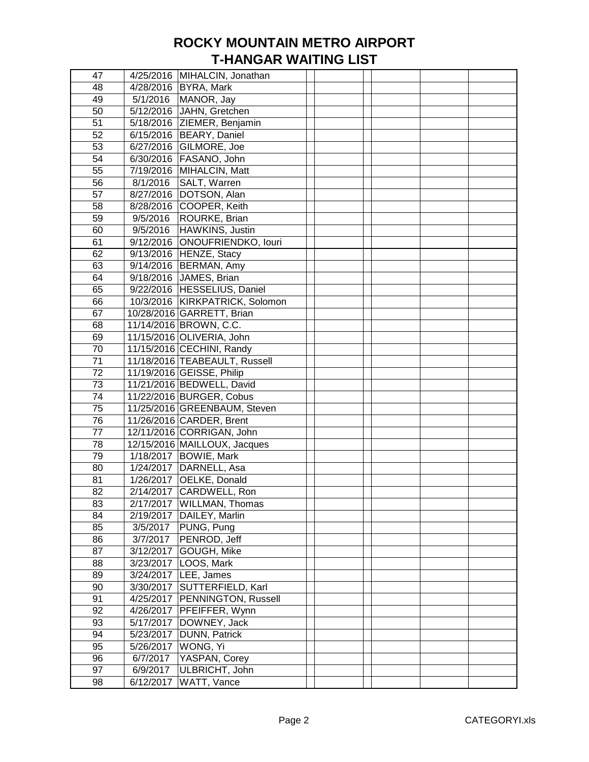| 47              |           | 4/25/2016   MIHALCIN, Jonathan  |  |  |  |
|-----------------|-----------|---------------------------------|--|--|--|
| 48              |           | 4/28/2016   BYRA, Mark          |  |  |  |
| 49              |           | 5/1/2016   MANOR, Jay           |  |  |  |
| 50              |           | 5/12/2016 JAHN, Gretchen        |  |  |  |
| 51              |           | 5/18/2016 ZIEMER, Benjamin      |  |  |  |
| 52              |           | 6/15/2016 BEARY, Daniel         |  |  |  |
| 53              |           | 6/27/2016 GILMORE, Joe          |  |  |  |
| 54              |           | 6/30/2016   FASANO, John        |  |  |  |
| 55              |           | 7/19/2016 MIHALCIN, Matt        |  |  |  |
| 56              | 8/1/2016  | SALT, Warren                    |  |  |  |
| 57              |           | 8/27/2016 DOTSON, Alan          |  |  |  |
| 58              |           | 8/28/2016 COOPER, Keith         |  |  |  |
| 59              | 9/5/2016  | ROURKE, Brian                   |  |  |  |
|                 |           |                                 |  |  |  |
| 60              | 9/5/2016  | HAWKINS, Justin                 |  |  |  |
| 61              |           | 9/12/2016 ONOUFRIENDKO, louri   |  |  |  |
| 62              |           | 9/13/2016 HENZE, Stacy          |  |  |  |
| 63              |           | 9/14/2016   BERMAN, Amy         |  |  |  |
| 64              |           | 9/18/2016 JAMES, Brian          |  |  |  |
| 65              |           | 9/22/2016 HESSELIUS, Daniel     |  |  |  |
| 66              |           | 10/3/2016 KIRKPATRICK, Solomon  |  |  |  |
| 67              |           | 10/28/2016 GARRETT, Brian       |  |  |  |
| 68              |           | 11/14/2016 BROWN, C.C.          |  |  |  |
| 69              |           | 11/15/2016 OLIVERIA, John       |  |  |  |
| 70              |           | 11/15/2016 CECHINI, Randy       |  |  |  |
| 71              |           | 11/18/2016 TEABEAULT, Russell   |  |  |  |
| 72              |           | 11/19/2016 GEISSE, Philip       |  |  |  |
| 73              |           | 11/21/2016 BEDWELL, David       |  |  |  |
| 74              |           | 11/22/2016 BURGER, Cobus        |  |  |  |
| 75              |           | 11/25/2016 GREENBAUM, Steven    |  |  |  |
| 76              |           | 11/26/2016 CARDER, Brent        |  |  |  |
| 77              |           | 12/11/2016 CORRIGAN, John       |  |  |  |
| 78              |           | 12/15/2016 MAILLOUX, Jacques    |  |  |  |
| $\overline{79}$ |           | 1/18/2017 BOWIE, Mark           |  |  |  |
| 80              |           | 1/24/2017 DARNELL, Asa          |  |  |  |
| 81              |           | 1/26/2017 OELKE, Donald         |  |  |  |
| 82              |           | 2/14/2017 CARDWELL, Ron         |  |  |  |
| 83              |           | 2/17/2017   WILLMAN, Thomas     |  |  |  |
| 84              |           | 2/19/2017   DAILEY, Marlin      |  |  |  |
| 85              | 3/5/2017  | PUNG, Pung                      |  |  |  |
| 86              | 3/7/2017  | PENROD, Jeff                    |  |  |  |
| 87              |           | 3/12/2017 GOUGH, Mike           |  |  |  |
|                 |           | 3/23/2017   LOOS, Mark          |  |  |  |
| 88              |           | 3/24/2017 LEE, James            |  |  |  |
| 89              |           |                                 |  |  |  |
| 90              |           | 3/30/2017 SUTTERFIELD, Karl     |  |  |  |
| 91              |           | 4/25/2017   PENNINGTON, Russell |  |  |  |
| 92              |           | 4/26/2017   PFEIFFER, Wynn      |  |  |  |
| 93              |           | 5/17/2017   DOWNEY, Jack        |  |  |  |
| 94              |           | 5/23/2017   DUNN, Patrick       |  |  |  |
| 95              |           | 5/26/2017   WONG, Yi            |  |  |  |
| 96              | 6/7/2017  | YASPAN, Corey                   |  |  |  |
| 97              | 6/9/2017  | ULBRICHT, John                  |  |  |  |
| 98              | 6/12/2017 | WATT, Vance                     |  |  |  |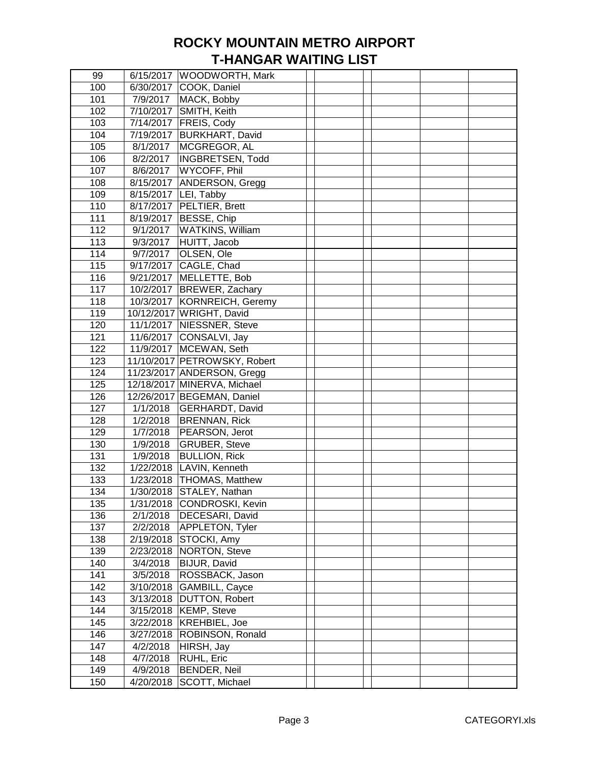| 99  |                       | 6/15/2017   WOODWORTH, Mark   |  |  |
|-----|-----------------------|-------------------------------|--|--|
| 100 |                       | 6/30/2017 COOK, Daniel        |  |  |
| 101 | 7/9/2017              | MACK, Bobby                   |  |  |
| 102 |                       | 7/10/2017 SMITH, Keith        |  |  |
| 103 |                       | 7/14/2017   FREIS, Cody       |  |  |
| 104 |                       | 7/19/2017 BURKHART, David     |  |  |
| 105 | 8/1/2017              | MCGREGOR, AL                  |  |  |
| 106 | 8/2/2017              | INGBRETSEN, Todd              |  |  |
| 107 | 8/6/2017              | WYCOFF, Phil                  |  |  |
| 108 |                       | 8/15/2017 ANDERSON, Gregg     |  |  |
| 109 |                       | 8/15/2017 LEI, Tabby          |  |  |
| 110 |                       | 8/17/2017   PELTIER, Brett    |  |  |
| 111 |                       | 8/19/2017 BESSE, Chip         |  |  |
| 112 | 9/1/2017              | <b>WATKINS, William</b>       |  |  |
| 113 | 9/3/2017              | HUITT, Jacob                  |  |  |
| 114 | 9/7/2017              | OLSEN, Ole                    |  |  |
| 115 |                       | 9/17/2017 CAGLE, Chad         |  |  |
| 116 |                       | 9/21/2017 MELLETTE, Bob       |  |  |
| 117 |                       | 10/2/2017 BREWER, Zachary     |  |  |
| 118 |                       | 10/3/2017   KORNREICH, Geremy |  |  |
| 119 |                       | 10/12/2017 WRIGHT, David      |  |  |
| 120 |                       | 11/1/2017   NIESSNER, Steve   |  |  |
| 121 |                       | 11/6/2017 CONSALVI, Jay       |  |  |
| 122 |                       | 11/9/2017   MCEWAN, Seth      |  |  |
|     |                       |                               |  |  |
| 123 |                       | 11/10/2017 PETROWSKY, Robert  |  |  |
| 124 |                       | 11/23/2017 ANDERSON, Gregg    |  |  |
| 125 |                       | 12/18/2017 MINERVA, Michael   |  |  |
| 126 |                       | 12/26/2017 BEGEMAN, Daniel    |  |  |
| 127 | 1/1/2018              | GERHARDT, David               |  |  |
| 128 | $\frac{1}{2}$ /2/2018 | <b>BRENNAN, Rick</b>          |  |  |
| 129 | 1/7/2018              | PEARSON, Jerot                |  |  |
| 130 | 1/9/2018              | <b>GRUBER, Steve</b>          |  |  |
| 131 | 1/9/2018              | <b>BULLION, Rick</b>          |  |  |
| 132 | 1/22/2018             | LAVIN, Kenneth                |  |  |
| 133 |                       | 1/23/2018 THOMAS, Matthew     |  |  |
| 134 |                       | 1/30/2018 STALEY, Nathan      |  |  |
| 135 |                       | 1/31/2018 CONDROSKI, Kevin    |  |  |
| 136 | 2/1/2018              | DECESARI, David               |  |  |
| 137 | 2/2/2018              | APPLETON, Tyler               |  |  |
| 138 |                       | 2/19/2018 STOCKI, Amy         |  |  |
| 139 |                       | 2/23/2018   NORTON, Steve     |  |  |
| 140 | 3/4/2018              | BIJUR, David                  |  |  |
| 141 | 3/5/2018              | ROSSBACK, Jason               |  |  |
| 142 |                       | 3/10/2018 GAMBILL, Cayce      |  |  |
| 143 |                       | 3/13/2018   DUTTON, Robert    |  |  |
| 144 |                       | 3/15/2018   KEMP, Steve       |  |  |
| 145 |                       | 3/22/2018   KREHBIEL, Joe     |  |  |
| 146 |                       | 3/27/2018 ROBINSON, Ronald    |  |  |
| 147 | 4/2/2018              | HIRSH, Jay                    |  |  |
| 148 | 4/7/2018              | RUHL, Eric                    |  |  |
| 149 | 4/9/2018              | <b>BENDER, Neil</b>           |  |  |
| 150 | 4/20/2018             | SCOTT, Michael                |  |  |
|     |                       |                               |  |  |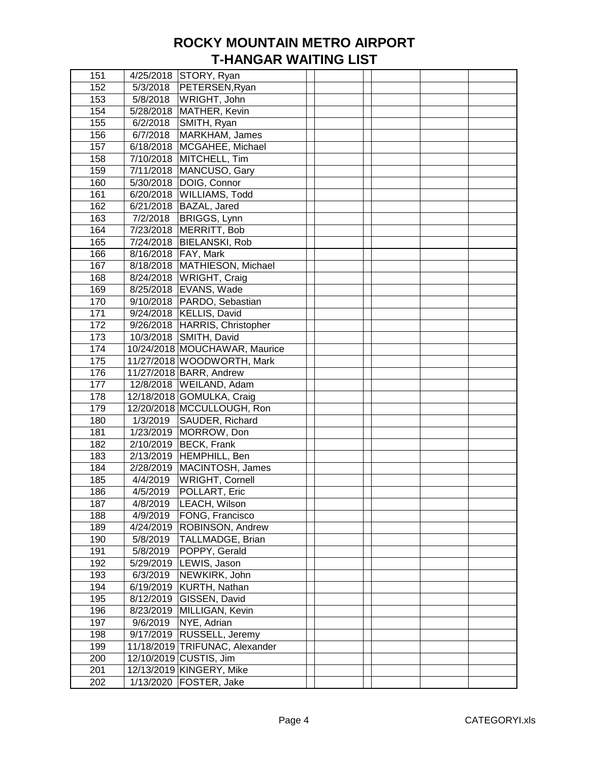| 151 |                       | 4/25/2018   STORY, Ryan        |  |  |  |
|-----|-----------------------|--------------------------------|--|--|--|
| 152 | 5/3/2018              | PETERSEN, Ryan                 |  |  |  |
| 153 | 5/8/2018              | WRIGHT, John                   |  |  |  |
| 154 | 5/28/2018             | MATHER, Kevin                  |  |  |  |
| 155 | 6/2/2018              | SMITH, Ryan                    |  |  |  |
| 156 | 6/7/2018              | MARKHAM, James                 |  |  |  |
| 157 |                       | 6/18/2018   MCGAHEE, Michael   |  |  |  |
| 158 |                       | 7/10/2018 MITCHELL, Tim        |  |  |  |
| 159 |                       | 7/11/2018   MANCUSO, Gary      |  |  |  |
| 160 |                       | 5/30/2018   DOIG, Connor       |  |  |  |
| 161 |                       | 6/20/2018 WILLIAMS, Todd       |  |  |  |
| 162 |                       | 6/21/2018   BAZAL, Jared       |  |  |  |
| 163 | 7/2/2018              | <b>BRIGGS, Lynn</b>            |  |  |  |
| 164 | 7/23/2018             | MERRITT, Bob                   |  |  |  |
| 165 |                       | 7/24/2018   BIELANSKI, Rob     |  |  |  |
| 166 | 8/16/2018   FAY, Mark |                                |  |  |  |
| 167 |                       | 8/18/2018 MATHIESON, Michael   |  |  |  |
| 168 |                       | 8/24/2018 WRIGHT, Craig        |  |  |  |
| 169 |                       | 8/25/2018   EVANS, Wade        |  |  |  |
| 170 |                       | 9/10/2018   PARDO, Sebastian   |  |  |  |
| 171 |                       | 9/24/2018 KELLIS, David        |  |  |  |
| 172 |                       | 9/26/2018 HARRIS, Christopher  |  |  |  |
| 173 |                       | 10/3/2018 SMITH, David         |  |  |  |
| 174 |                       | 10/24/2018 MOUCHAWAR, Maurice  |  |  |  |
| 175 |                       | 11/27/2018 WOODWORTH, Mark     |  |  |  |
| 176 |                       | 11/27/2018 BARR, Andrew        |  |  |  |
|     |                       | 12/8/2018   WEILAND, Adam      |  |  |  |
| 177 |                       |                                |  |  |  |
| 178 |                       | 12/18/2018 GOMULKA, Craig      |  |  |  |
| 179 |                       | 12/20/2018 MCCULLOUGH, Ron     |  |  |  |
| 180 | 1/3/2019              | SAUDER, Richard                |  |  |  |
| 181 |                       | 1/23/2019   MORROW, Don        |  |  |  |
| 182 |                       | 2/10/2019 BECK, Frank          |  |  |  |
| 183 |                       | 2/13/2019 HEMPHILL, Ben        |  |  |  |
| 184 | 2/28/2019             | MACINTOSH, James               |  |  |  |
| 185 | 4/4/2019              | <b>WRIGHT, Cornell</b>         |  |  |  |
| 186 | 4/5/2019              | POLLART, Eric                  |  |  |  |
| 187 | 4/8/2019              | LEACH, Wilson                  |  |  |  |
| 188 | 4/9/2019              | FONG, Francisco                |  |  |  |
| 189 |                       | 4/24/2019   ROBINSON, Andrew   |  |  |  |
| 190 | 5/8/2019              | TALLMADGE, Brian               |  |  |  |
| 191 | 5/8/2019              | POPPY, Gerald                  |  |  |  |
| 192 |                       | 5/29/2019 LEWIS, Jason         |  |  |  |
| 193 | 6/3/2019              | NEWKIRK, John                  |  |  |  |
| 194 |                       | 6/19/2019 KURTH, Nathan        |  |  |  |
| 195 |                       | 8/12/2019 GISSEN, David        |  |  |  |
| 196 |                       | 8/23/2019 MILLIGAN, Kevin      |  |  |  |
| 197 | 9/6/2019              | NYE, Adrian                    |  |  |  |
| 198 |                       | 9/17/2019 RUSSELL, Jeremy      |  |  |  |
| 199 |                       | 11/18/2019 TRIFUNAC, Alexander |  |  |  |
| 200 |                       | 12/10/2019 CUSTIS, Jim         |  |  |  |
| 201 |                       | 12/13/2019 KINGERY, Mike       |  |  |  |
| 202 |                       | 1/13/2020   FOSTER, Jake       |  |  |  |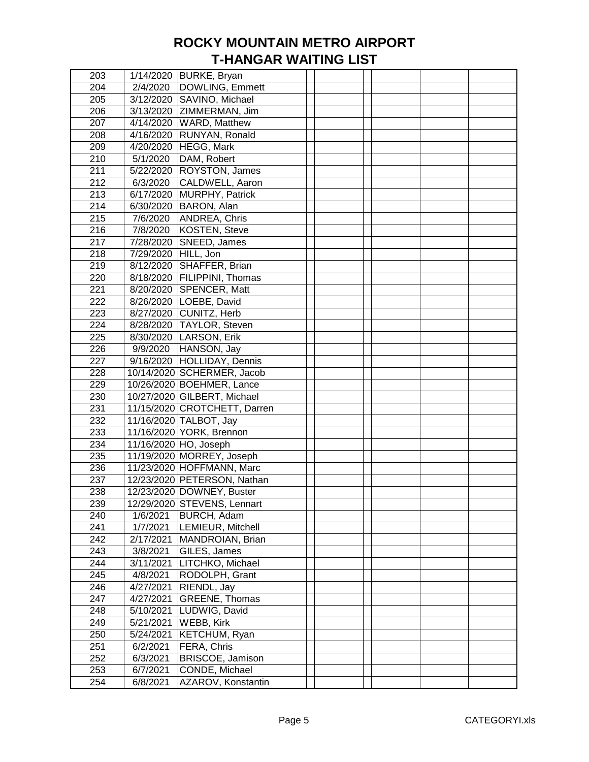| 203 |                     | 1/14/2020 BURKE, Bryan        |  |  |  |
|-----|---------------------|-------------------------------|--|--|--|
| 204 | 2/4/2020            | DOWLING, Emmett               |  |  |  |
| 205 |                     | 3/12/2020 SAVINO, Michael     |  |  |  |
| 206 |                     | 3/13/2020 ZIMMERMAN, Jim      |  |  |  |
| 207 |                     | 4/14/2020   WARD, Matthew     |  |  |  |
| 208 |                     | 4/16/2020 RUNYAN, Ronald      |  |  |  |
| 209 |                     | 4/20/2020   HEGG, Mark        |  |  |  |
| 210 | 5/1/2020            | DAM, Robert                   |  |  |  |
| 211 |                     | 5/22/2020 ROYSTON, James      |  |  |  |
| 212 | 6/3/2020            | CALDWELL, Aaron               |  |  |  |
| 213 |                     | 6/17/2020 MURPHY, Patrick     |  |  |  |
| 214 |                     | 6/30/2020   BARON, Alan       |  |  |  |
| 215 | 7/6/2020            | ANDREA, Chris                 |  |  |  |
| 216 | 7/8/2020            | KOSTEN, Steve                 |  |  |  |
| 217 |                     | 7/28/2020 SNEED, James        |  |  |  |
| 218 | 7/29/2020 HILL, Jon |                               |  |  |  |
| 219 |                     | 8/12/2020 SHAFFER, Brian      |  |  |  |
| 220 |                     | 8/18/2020   FILIPPINI, Thomas |  |  |  |
| 221 |                     | 8/20/2020 SPENCER, Matt       |  |  |  |
| 222 |                     | 8/26/2020   LOEBE, David      |  |  |  |
| 223 |                     | 8/27/2020 CUNITZ, Herb        |  |  |  |
| 224 |                     |                               |  |  |  |
|     |                     | 8/28/2020 TAYLOR, Steven      |  |  |  |
| 225 |                     | 8/30/2020 LARSON, Erik        |  |  |  |
| 226 | 9/9/2020            | HANSON, Jay                   |  |  |  |
| 227 |                     | 9/16/2020 HOLLIDAY, Dennis    |  |  |  |
| 228 |                     | 10/14/2020 SCHERMER, Jacob    |  |  |  |
| 229 |                     | 10/26/2020 BOEHMER, Lance     |  |  |  |
| 230 |                     | 10/27/2020 GILBERT, Michael   |  |  |  |
| 231 |                     | 11/15/2020 CROTCHETT, Darren  |  |  |  |
| 232 |                     | 11/16/2020 TALBOT, Jay        |  |  |  |
| 233 |                     | 11/16/2020 YORK, Brennon      |  |  |  |
| 234 |                     | 11/16/2020 HO, Joseph         |  |  |  |
| 235 |                     | 11/19/2020 MORREY, Joseph     |  |  |  |
| 236 |                     | 11/23/2020 HOFFMANN, Marc     |  |  |  |
| 237 |                     | 12/23/2020 PETERSON, Nathan   |  |  |  |
| 238 |                     | 12/23/2020 DOWNEY, Buster     |  |  |  |
| 239 |                     | 12/29/2020 STEVENS, Lennart   |  |  |  |
| 240 | 1/6/2021            | BURCH, Adam                   |  |  |  |
| 241 | 1/7/2021            | LEMIEUR, Mitchell             |  |  |  |
| 242 | 2/17/2021           | MANDROIAN, Brian              |  |  |  |
| 243 | 3/8/2021            | GILES, James                  |  |  |  |
| 244 | 3/11/2021           | LITCHKO, Michael              |  |  |  |
| 245 | 4/8/2021            | RODOLPH, Grant                |  |  |  |
| 246 | 4/27/2021           | RIENDL, Jay                   |  |  |  |
| 247 | 4/27/2021           | GREENE, Thomas                |  |  |  |
| 248 | 5/10/2021           | LUDWIG, David                 |  |  |  |
| 249 | 5/21/2021           | WEBB, Kirk                    |  |  |  |
| 250 | 5/24/2021           | KETCHUM, Ryan                 |  |  |  |
| 251 | 6/2/2021            | FERA, Chris                   |  |  |  |
| 252 | 6/3/2021            | BRISCOE, Jamison              |  |  |  |
| 253 | 6/7/2021            | CONDE, Michael                |  |  |  |
| 254 | 6/8/2021            | AZAROV, Konstantin            |  |  |  |
|     |                     |                               |  |  |  |